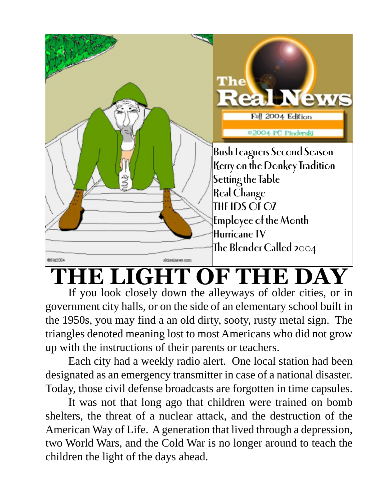

# **E LIGHT OF THE DAY**

If you look closely down the alleyways of older cities, or in government city halls, or on the side of an elementary school built in the 1950s, you may find a an old dirty, sooty, rusty metal sign. The triangles denoted meaning lost to most Americans who did not grow up with the instructions of their parents or teachers.

Each city had a weekly radio alert. One local station had been designated as an emergency transmitter in case of a national disaster. Today, those civil defense broadcasts are forgotten in time capsules.

It was not that long ago that children were trained on bomb shelters, the threat of a nuclear attack, and the destruction of the American Way of Life. A generation that lived through a depression, two World Wars, and the Cold War is no longer around to teach the children the light of the days ahead.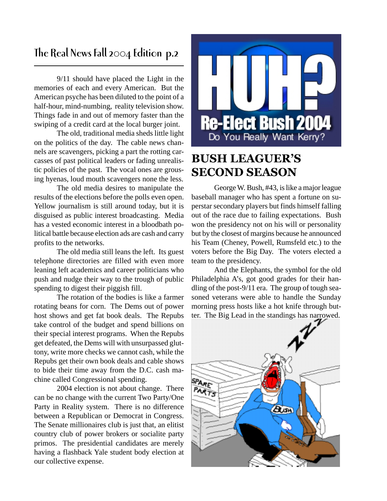#### **The Real News Fall 2004 Edition p.2**

9/11 should have placed the Light in the memories of each and every American. But the American psyche has been diluted to the point of a half-hour, mind-numbing, reality television show. Things fade in and out of memory faster than the swiping of a credit card at the local burger joint.

The old, traditional media sheds little light on the politics of the day. The cable news channels are scavengers, picking a part the rotting carcasses of past political leaders or fading unrealistic policies of the past. The vocal ones are grousing hyenas, loud mouth scavengers none the less.

The old media desires to manipulate the results of the elections before the polls even open. Yellow journalism is still around today, but it is disguised as public interest broadcasting. Media has a vested economic interest in a bloodbath political battle because election ads are cash and carry profits to the networks.

The old media still leans the left. Its guest telephone directories are filled with even more leaning left academics and career politicians who push and nudge their way to the trough of public spending to digest their piggish fill.

The rotation of the bodies is like a farmer rotating beans for corn. The Dems out of power host shows and get fat book deals. The Repubs take control of the budget and spend billions on their special interest programs. When the Repubs get defeated, the Dems will with unsurpassed gluttony, write more checks we cannot cash, while the Repubs get their own book deals and cable shows to bide their time away from the D.C. cash machine called Congressional spending.

2004 election is not about change. There can be no change with the current Two Party/One Party in Reality system. There is no difference between a Republican or Democrat in Congress. The Senate millionaires club is just that, an elitist country club of power brokers or socialite party primos. The presidential candidates are merely having a flashback Yale student body election at our collective expense.



#### **BUSH LEAGUER'S SECOND SEASON**

George W. Bush, #43, is like a major league baseball manager who has spent a fortune on superstar secondary players but finds himself falling out of the race due to failing expectations. Bush won the presidency not on his will or personality but by the closest of margins because he announced his Team (Cheney, Powell, Rumsfeld etc.) to the voters before the Big Day. The voters elected a team to the presidency.

And the Elephants, the symbol for the old Philadelphia A's, got good grades for their handling of the post-9/11 era. The group of tough seasoned veterans were able to handle the Sunday morning press hosts like a hot knife through butter. The Big Lead in the standings has narrowed.

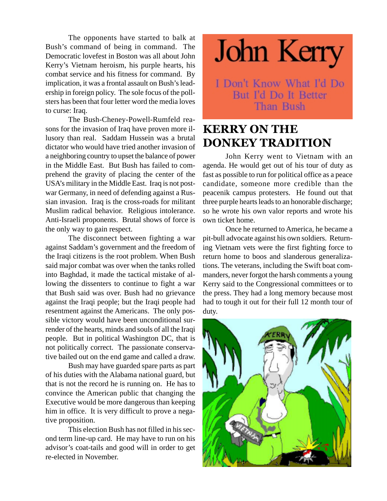The opponents have started to balk at Bush's command of being in command. The Democratic lovefest in Boston was all about John Kerry's Vietnam heroism, his purple hearts, his combat service and his fitness for command. By implication, it was a frontal assault on Bush's leadership in foreign policy. The sole focus of the pollsters has been that four letter word the media loves to curse: Iraq.

The Bush-Cheney-Powell-Rumfeld reasons for the invasion of Iraq have proven more illusory than real. Saddam Hussein was a brutal dictator who would have tried another invasion of a neighboring country to upset the balance of power in the Middle East. But Bush has failed to comprehend the gravity of placing the center of the USA's military in the Middle East. Iraq is not postwar Germany, in need of defending against a Russian invasion. Iraq is the cross-roads for militant Muslim radical behavior. Religious intolerance. Anti-Israeli proponents. Brutal shows of force is the only way to gain respect.

The disconnect between fighting a war against Saddam's government and the freedom of the Iraqi citizens is the root problem. When Bush said major combat was over when the tanks rolled into Baghdad, it made the tactical mistake of allowing the dissenters to continue to fight a war that Bush said was over. Bush had no grievance against the Iraqi people; but the Iraqi people had resentment against the Americans. The only possible victory would have been unconditional surrender of the hearts, minds and souls of all the Iraqi people. But in political Washington DC, that is not politically correct. The passionate conservative bailed out on the end game and called a draw.

Bush may have guarded spare parts as part of his duties with the Alabama national guard, but that is not the record he is running on. He has to convince the American public that changing the Executive would be more dangerous than keeping him in office. It is very difficult to prove a negative proposition.

This election Bush has not filled in his second term line-up card. He may have to run on his advisor's coat-tails and good will in order to get re-elected in November.

# **John Kerry**

I Don't Know What I'd Do But I'd Do It Better Than Bush

## **KERRY ON THE DONKEY TRADITION**

John Kerry went to Vietnam with an agenda. He would get out of his tour of duty as fast as possible to run for political office as a peace candidate, someone more credible than the peacenik campus protesters. He found out that three purple hearts leads to an honorable discharge; so he wrote his own valor reports and wrote his own ticket home.

Once he returned to America, he became a pit-bull advocate against his own soldiers. Returning Vietnam vets were the first fighting force to return home to boos and slanderous generalizations. The veterans, including the Swift boat commanders, never forgot the harsh comments a young Kerry said to the Congressional committees or to the press. They had a long memory because most had to tough it out for their full 12 month tour of duty.

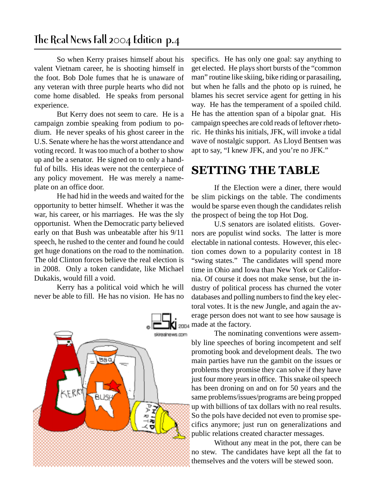#### **The Real News Fall 2004 Edition p.4**

So when Kerry praises himself about his valent Vietnam career, he is shooting himself in the foot. Bob Dole fumes that he is unaware of any veteran with three purple hearts who did not come home disabled. He speaks from personal experience.

But Kerry does not seem to care. He is a campaign zombie speaking from podium to podium. He never speaks of his ghost career in the U.S. Senate where he has the worst attendance and voting record. It was too much of a bother to show up and be a senator. He signed on to only a handful of bills. His ideas were not the centerpiece of any policy movement. He was merely a nameplate on an office door.

He had hid in the weeds and waited for the opportunity to better himself. Whether it was the war, his career, or his marriages. He was the sly opportunist. When the Democratic party believed early on that Bush was unbeatable after his 9/11 speech, he rushed to the center and found he could get huge donations on the road to the nomination. The old Clinton forces believe the real election is in 2008. Only a token candidate, like Michael Dukakis, would fill a void.

Kerry has a political void which he will never be able to fill. He has no vision. He has no



specifics. He has only one goal: say anything to get elected. He plays short bursts of the "common man" routine like skiing, bike riding or parasailing, but when he falls and the photo op is ruined, he blames his secret service agent for getting in his way. He has the temperament of a spoiled child. He has the attention span of a bipolar gnat. His campaign speeches are cold reads of leftover rhetoric. He thinks his initials, JFK, will invoke a tidal wave of nostalgic support. As Lloyd Bentsen was apt to say, "I knew JFK, and you're no JFK."

#### **SETTING THE TABLE**

If the Election were a diner, there would be slim pickings on the table. The condiments would be sparse even though the candidates relish the prospect of being the top Hot Dog.

U.S senators are isolated elitists. Governors are populist wind socks. The latter is more electable in national contests. However, this election comes down to a popularity contest in 18 "swing states." The candidates will spend more time in Ohio and Iowa than New York or California. Of course it does not make sense, but the industry of political process has churned the voter databases and polling numbers to find the key electoral votes. It is the new Jungle, and again the average person does not want to see how sausage is **Q** 2004 made at the factory.

> The nominating conventions were assembly line speeches of boring incompetent and self promoting book and development deals. The two main parties have run the gambit on the issues or problems they promise they can solve if they have just four more years in office. This snake oil speech has been droning on and on for 50 years and the same problems/issues/programs are being propped up with billions of tax dollars with no real results. So the pols have decided not even to promise specifics anymore; just run on generalizations and public relations created character messages.

> Without any meat in the pot, there can be no stew. The candidates have kept all the fat to themselves and the voters will be stewed soon.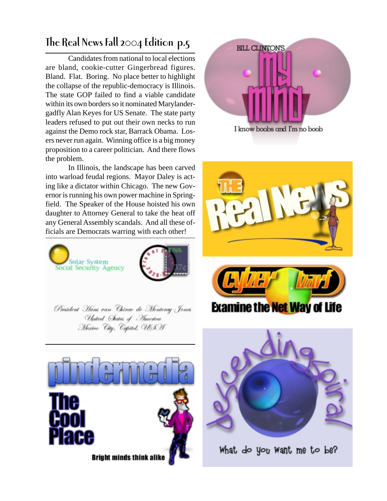# **The Real News Fall 2004 Edition p.5**

Candidates from national to local elections are bland, cookie-cutter Gingerbread figures. Bland. Flat. Boring. No place better to highlight the collapse of the republic-democracy is Illinois. The state GOP failed to find a viable candidate within its own borders so it nominated Marylandergadfly Alan Keyes for US Senate. The state party leaders refused to put out their own necks to run against the Demo rock star, Barrack Obama. Losers never run again. Winning office is a big money proposition to a career politician. And there flows the problem.

In Illinois, the landscape has been carved into warload feudal regions. Mayor Daley is acting like a dictator within Chicago. The new Governor is running his own power machine in Springfield. The Speaker of the House hoisted his own daughter to Attorney General to take the heat off any General Assembly scandals. And all these officials are Democrats warring with each other!













What do you want me to be?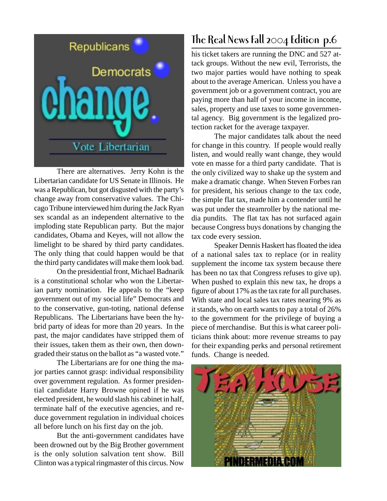

There are alternatives. Jerry Kohn is the Libertarian candidate for US Senate in Illinois. He was a Republican, but got disgusted with the party's change away from conservative values. The Chicago Tribune interviewed him during the Jack Ryan sex scandal as an independent alternative to the imploding state Republican party. But the major candidates, Obama and Keyes, will not allow the limelight to be shared by third party candidates. The only thing that could happen would be that the third party candidates will make them look bad.

On the presidential front, Michael Badnarik is a constitutional scholar who won the Libertarian party nomination. He appeals to the "keep government out of my social life" Democrats and to the conservative, gun-toting, national defense Republicans. The Libertarians have been the hybrid party of ideas for more than 20 years. In the past, the major candidates have stripped them of their issues, taken them as their own, then downgraded their status on the ballot as "a wasted vote."

The Libertarians are for one thing the major parties cannot grasp: individual responsibility over government regulation. As former presidential candidate Harry Browne opined if he was elected president, he would slash his cabinet in half, terminate half of the executive agencies, and reduce government regulation in individual choices all before lunch on his first day on the job.

But the anti-government candidates have been drowned out by the Big Brother government is the only solution salvation tent show. Bill Clinton was a typical ringmaster of this circus. Now

#### **The Real News Fall 2004 Edition p.6**

his ticket takers are running the DNC and 527 attack groups. Without the new evil, Terrorists, the two major parties would have nothing to speak about to the average American. Unless you have a government job or a government contract, you are paying more than half of your income in income, sales, property and use taxes to some governmental agency. Big government is the legalized protection racket for the average taxpayer.

The major candidates talk about the need for change in this country. If people would really listen, and would really want change, they would vote en masse for a third party candidate. That is the only civilized way to shake up the system and make a dramatic change. When Steven Forbes ran for president, his serious change to the tax code, the simple flat tax, made him a contender until he was put under the steamroller by the national media pundits. The flat tax has not surfaced again because Congress buys donations by changing the tax code every session.

Speaker Dennis Haskert has floated the idea of a national sales tax to replace (or in reality supplement the income tax system because there has been no tax that Congress refuses to give up). When pushed to explain this new tax, he drops a figure of about 17% as the tax rate for all purchases. With state and local sales tax rates nearing 9% as it stands, who on earth wants to pay a total of 26% to the government for the privilege of buying a piece of merchandise. But this is what career politicians think about: more revenue streams to pay for their expanding perks and personal retirement funds. Change is needed.

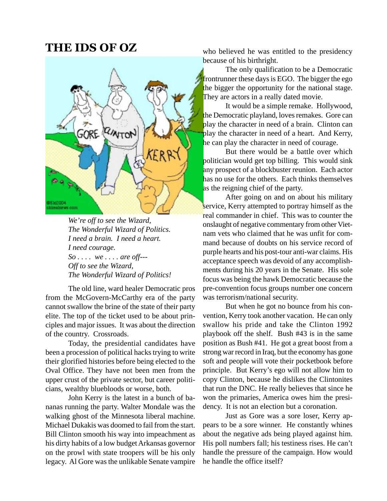#### **THE IDS OF OZ**



*We're off to see the Wizard, The Wonderful Wizard of Politics. I need a brain. I need a heart. I need courage. So . . . . we . . . . are off--- Off to see the Wizard, The Wonderful Wizard of Politics!*

The old line, ward healer Democratic pros from the McGovern-McCarthy era of the party cannot swallow the brine of the state of their party elite. The top of the ticket used to be about principles and major issues. It was about the direction of the country. Crossroads.

Today, the presidential candidates have been a procession of political hacks trying to write their glorified histories before being elected to the Oval Office. They have not been men from the upper crust of the private sector, but career politicians, wealthy bluebloods or worse, both.

John Kerry is the latest in a bunch of bananas running the party. Walter Mondale was the walking ghost of the Minnesota liberal machine. Michael Dukakis was doomed to fail from the start. Bill Clinton smooth his way into impeachment as his dirty habits of a low budget Arkansas governor on the prowl with state troopers will be his only legacy. Al Gore was the unlikable Senate vampire who believed he was entitled to the presidency because of his birthright.

The only qualification to be a Democratic frontrunner these days is EGO. The bigger the ego the bigger the opportunity for the national stage. They are actors in a really dated movie.

It would be a simple remake. Hollywood, the Democratic playland, loves remakes. Gore can play the character in need of a brain. Clinton can play the character in need of a heart. And Kerry, he can play the character in need of courage.

But there would be a battle over which politician would get top billing. This would sink any prospect of a blockbuster reunion. Each actor has no use for the others. Each thinks themselves as the reigning chief of the party.

After going on and on about his military service, Kerry attempted to portray himself as the real commander in chief. This was to counter the onslaught of negative commentary from other Vietnam vets who claimed that he was unfit for command because of doubts on his service record of purple hearts and his post-tour anti-war claims. His acceptance speech was devoid of any accomplishments during his 20 years in the Senate. His sole focus was being the hawk Democratic because the pre-convention focus groups number one concern was terrorism/national security.

But when he got no bounce from his convention, Kerry took another vacation. He can only swallow his pride and take the Clinton 1992 playbook off the shelf. Bush #43 is in the same position as Bush #41. He got a great boost from a strong war record in Iraq, but the economy has gone soft and people will vote their pocketbook before principle. But Kerry's ego will not allow him to copy Clinton, because he dislikes the Clintonites that run the DNC. He really believes that since he won the primaries, America owes him the presidency. It is not an election but a coronation.

Just as Gore was a sore loser, Kerry appears to be a sore winner. He constantly whines about the negative ads being played against him. His poll numbers fall; his testiness rises. He can't handle the pressure of the campaign. How would he handle the office itself?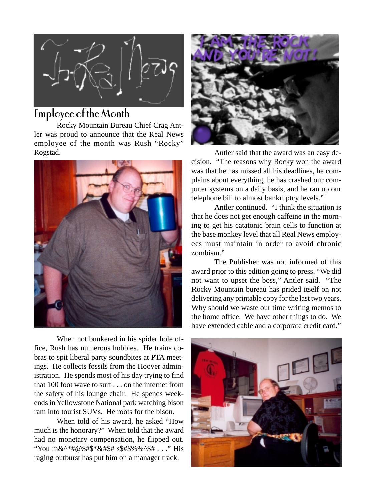

### **Employee of the Month**

Rocky Mountain Bureau Chief Crag Antler was proud to announce that the Real News employee of the month was Rush "Rocky" Rogstad. Antler said that the award was an easy de-



When not bunkered in his spider hole office, Rush has numerous hobbies. He trains cobras to spit liberal party soundbites at PTA meetings. He collects fossils from the Hoover administration. He spends most of his day trying to find that 100 foot wave to surf . . . on the internet from the safety of his lounge chair. He spends weekends in Yellowstone National park watching bison ram into tourist SUVs. He roots for the bison.

When told of his award, he asked "How much is the honorary?" When told that the award had no monetary compensation, he flipped out. "You m&^\*#@\$#\$\*&#\$# s\$#\$%%^\$# . . ." His raging outburst has put him on a manager track.



cision. "The reasons why Rocky won the award was that he has missed all his deadlines, he complains about everything, he has crashed our computer systems on a daily basis, and he ran up our telephone bill to almost bankruptcy levels."

Antler continued. "I think the situation is that he does not get enough caffeine in the morning to get his catatonic brain cells to function at the base monkey level that all Real News employees must maintain in order to avoid chronic zombism."

The Publisher was not informed of this award prior to this edition going to press. "We did not want to upset the boss," Antler said. "The Rocky Mountain bureau has prided itself on not delivering any printable copy for the last two years. Why should we waste our time writing memos to the home office. We have other things to do. We have extended cable and a corporate credit card."

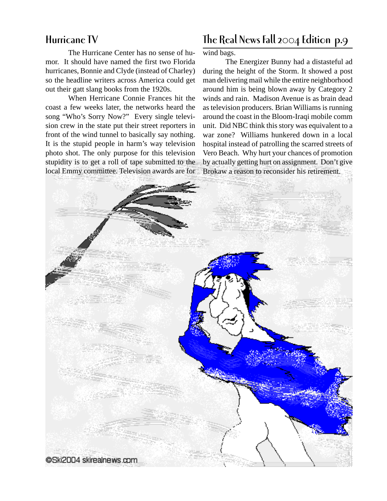The Hurricane Center has no sense of humor. It should have named the first two Florida hurricanes, Bonnie and Clyde (instead of Charley) so the headline writers across America could get out their gatt slang books from the 1920s.

When Herricane Connie Frances hit the coast a few weeks later, the networks heard the song "Who's Sorry Now?" Every single television crew in the state put their street reporters in front of the wind tunnel to basically say nothing. It is the stupid people in harm's way television photo shot. The only purpose for this television stupidity is to get a roll of tape submitted to the local Emmy committee. Television awards are for

**Hurricane TV The Real News Fall 2004 Edition p.9**

wind bags.

The Energizer Bunny had a distasteful ad during the height of the Storm. It showed a post man delivering mail while the entire neighborhood around him is being blown away by Category 2 winds and rain. Madison Avenue is as brain dead as television producers. Brian Williams is running around the coast in the Bloom-Iraqi mobile comm unit. Did NBC think this story was equivalent to a war zone? Williams hunkered down in a local hospital instead of patrolling the scarred streets of Vero Beach. Why hurt your chances of promotion by actually getting hurt on assignment. Don't give Brokaw a reason to reconsider his retirement.